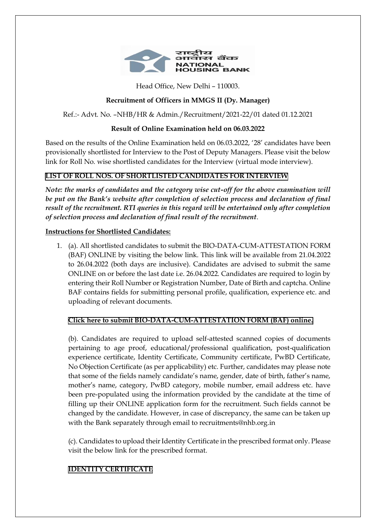

Head Office, New Delhi – 110003.

# **Recruitment of Officers in MMGS II (Dy. Manager)**

Ref.:- Advt. No. –NHB/HR & Admin./Recruitment/2021-22/01 dated 01.12.2021

## **Result of Online Examination held on 06.03.2022**

Based on the results of the Online Examination held on 06.03.2022, '28' candidates have been provisionally shortlisted for Interview to the Post of Deputy Managers. Please visit the below link for Roll No. wise shortlisted candidates for the Interview (virtual mode interview).

## **[LIST OF ROLL NOS. OF SHORTLISTED CANDIDATES FOR INTERVIEW](https://nhb.org.in/wp-content/uploads/2021/11/List-of-Roll-Nos.-of-shortlisted-Candidates-for-Interview.pdf)**

*Note: the marks of candidates and the category wise cut-off for the above examination will be put on the Bank's website after completion of selection process and declaration of final result of the recruitment. RTI queries in this regard will be entertained only after completion of selection process and declaration of final result of the recruitment*.

### **Instructions for Shortlisted Candidates:**

1. (a). All shortlisted candidates to submit the BIO-DATA-CUM-ATTESTATION FORM (BAF) ONLINE by visiting the below link. This link will be available from 21.04.2022 to 26.04.2022 (both days are inclusive). Candidates are advised to submit the same ONLINE on or before the last date i.e. 26.04.2022. Candidates are required to login by entering their Roll Number or Registration Number, Date of Birth and captcha. Online BAF contains fields for submitting personal profile, qualification, experience etc. and uploading of relevant documents.

## **[Click here to submit BIO-DATA-CUM-ATTESTATION FORM \(BAF\) online.](https://nhb.org.in/dy_managers/)**

(b). Candidates are required to upload self-attested scanned copies of documents pertaining to age proof, educational/professional qualification, post-qualification experience certificate, Identity Certificate, Community certificate, PwBD Certificate, No Objection Certificate (as per applicability) etc. Further, candidates may please note that some of the fields namely candidate's name, gender, date of birth, father's name, mother's name, category, PwBD category, mobile number, email address etc. have been pre-populated using the information provided by the candidate at the time of filling up their ONLINE application form for the recruitment. Such fields cannot be changed by the candidate. However, in case of discrepancy, the same can be taken up with the Bank separately through email to recruitments@nhb.org.in

(c). Candidates to upload their Identity Certificate in the prescribed format only. Please visit the below link for the prescribed format.

## **[IDENTITY CERTIFICATE](https://nhb.org.in/wp-content/uploads/2022/04/Identity-Certificate.pdf)**